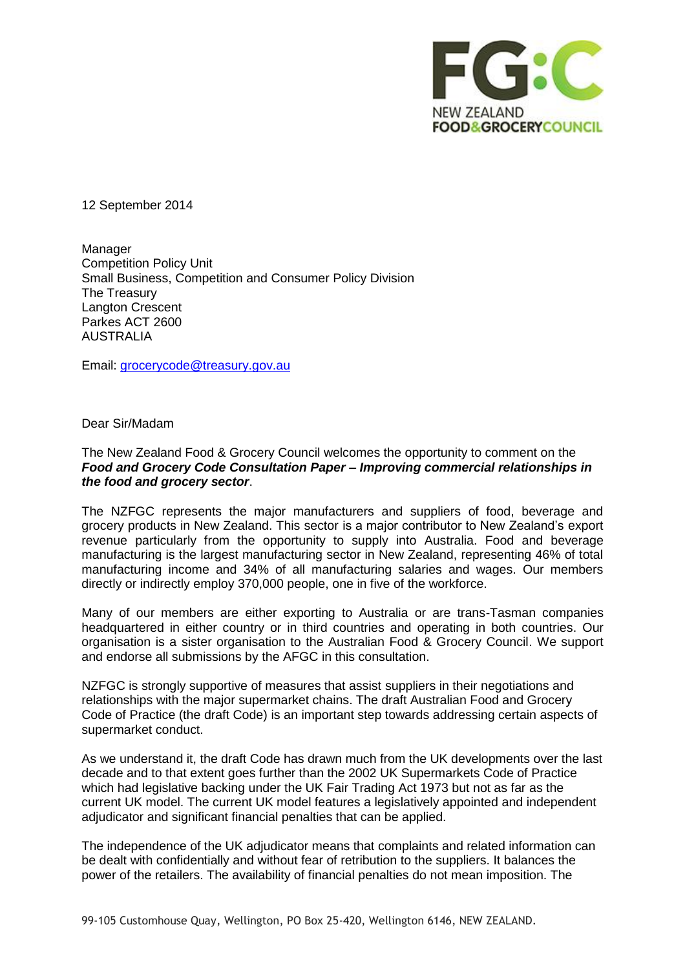

12 September 2014

Manager Competition Policy Unit Small Business, Competition and Consumer Policy Division The Treasury Langton Crescent Parkes ACT 2600 AUSTRALIA

Email: [grocerycode@treasury.gov.au](mailto:grocerycode@treasury.gov.au)

Dear Sir/Madam

### The New Zealand Food & Grocery Council welcomes the opportunity to comment on the *Food and Grocery Code Consultation Paper – Improving commercial relationships in the food and grocery sector*.

The NZFGC represents the major manufacturers and suppliers of food, beverage and grocery products in New Zealand. This sector is a major contributor to New Zealand's export revenue particularly from the opportunity to supply into Australia. Food and beverage manufacturing is the largest manufacturing sector in New Zealand, representing 46% of total manufacturing income and 34% of all manufacturing salaries and wages. Our members directly or indirectly employ 370,000 people, one in five of the workforce.

Many of our members are either exporting to Australia or are trans-Tasman companies headquartered in either country or in third countries and operating in both countries. Our organisation is a sister organisation to the Australian Food & Grocery Council. We support and endorse all submissions by the AFGC in this consultation.

NZFGC is strongly supportive of measures that assist suppliers in their negotiations and relationships with the major supermarket chains. The draft Australian Food and Grocery Code of Practice (the draft Code) is an important step towards addressing certain aspects of supermarket conduct.

As we understand it, the draft Code has drawn much from the UK developments over the last decade and to that extent goes further than the 2002 UK Supermarkets Code of Practice which had legislative backing under the UK Fair Trading Act 1973 but not as far as the current UK model. The current UK model features a legislatively appointed and independent adjudicator and significant financial penalties that can be applied.

The independence of the UK adjudicator means that complaints and related information can be dealt with confidentially and without fear of retribution to the suppliers. It balances the power of the retailers. The availability of financial penalties do not mean imposition. The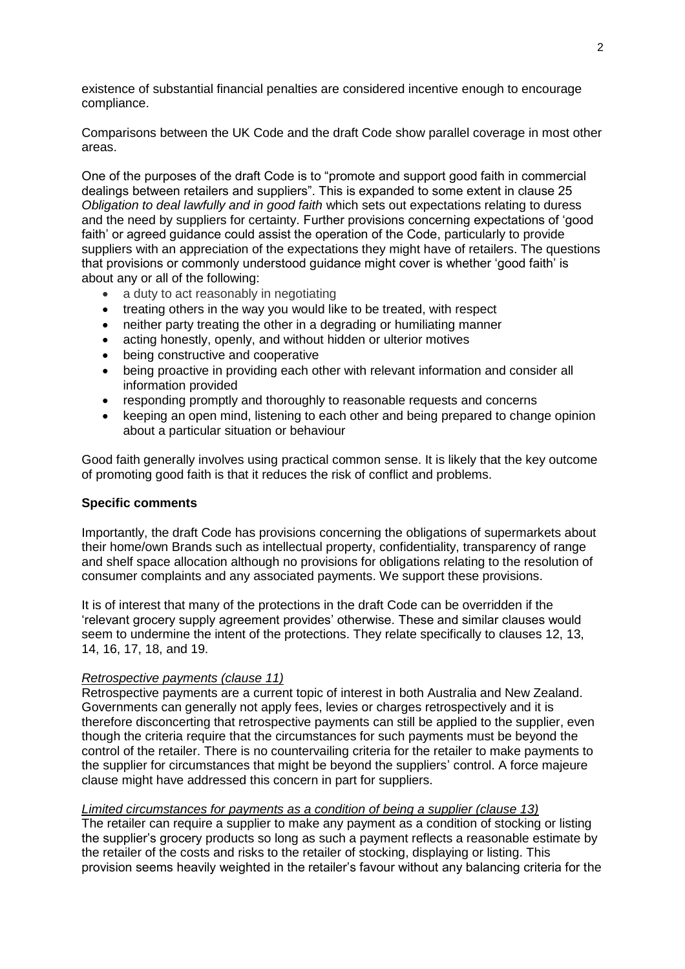existence of substantial financial penalties are considered incentive enough to encourage compliance.

Comparisons between the UK Code and the draft Code show parallel coverage in most other areas.

One of the purposes of the draft Code is to "promote and support good faith in commercial dealings between retailers and suppliers". This is expanded to some extent in clause 25 *Obligation to deal lawfully and in good faith* which sets out expectations relating to duress and the need by suppliers for certainty. Further provisions concerning expectations of 'good faith' or agreed guidance could assist the operation of the Code, particularly to provide suppliers with an appreciation of the expectations they might have of retailers. The questions that provisions or commonly understood guidance might cover is whether 'good faith' is about any or all of the following:

- a duty to act reasonably in negotiating
- treating others in the way you would like to be treated, with respect
- neither party treating the other in a degrading or humiliating manner
- acting honestly, openly, and without hidden or ulterior motives
- being constructive and cooperative
- being proactive in providing each other with relevant information and consider all information provided
- responding promptly and thoroughly to reasonable requests and concerns
- keeping an open mind, listening to each other and being prepared to change opinion about a particular situation or behaviour

Good faith generally involves using practical common sense. It is likely that the key outcome of promoting good faith is that it reduces the risk of conflict and problems.

#### **Specific comments**

Importantly, the draft Code has provisions concerning the obligations of supermarkets about their home/own Brands such as intellectual property, confidentiality, transparency of range and shelf space allocation although no provisions for obligations relating to the resolution of consumer complaints and any associated payments. We support these provisions.

It is of interest that many of the protections in the draft Code can be overridden if the 'relevant grocery supply agreement provides' otherwise. These and similar clauses would seem to undermine the intent of the protections. They relate specifically to clauses 12, 13, 14, 16, 17, 18, and 19.

#### *Retrospective payments (clause 11)*

Retrospective payments are a current topic of interest in both Australia and New Zealand. Governments can generally not apply fees, levies or charges retrospectively and it is therefore disconcerting that retrospective payments can still be applied to the supplier, even though the criteria require that the circumstances for such payments must be beyond the control of the retailer. There is no countervailing criteria for the retailer to make payments to the supplier for circumstances that might be beyond the suppliers' control. A force majeure clause might have addressed this concern in part for suppliers.

#### *Limited circumstances for payments as a condition of being a supplier (clause 13)*

The retailer can require a supplier to make any payment as a condition of stocking or listing the supplier's grocery products so long as such a payment reflects a reasonable estimate by the retailer of the costs and risks to the retailer of stocking, displaying or listing. This provision seems heavily weighted in the retailer's favour without any balancing criteria for the